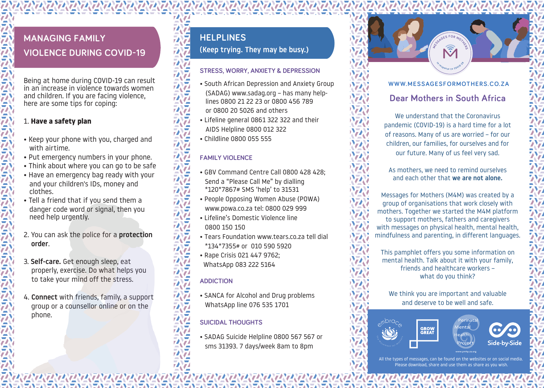# **MANAGING FAMILY VIOLENCE DURING COVID-19**

Being at home during COVID-19 can result in an increase in violence towards women and children. If you are facing violence, here are some tips for coping:

#### 1. **Have a safety plan**

- Keep your phone with you, charged and with airtime.
- Put emergency numbers in your phone.
- Think about where you can go to be safe
- Have an emergency bag ready with your and your children's IDs, money and clothes.
- Tell a friend that if you send them a danger code word or signal, then you need help urgently.
- 2. You can ask the police for a protection order.
- 3. Self-care. Get enough sleep, eat properly, exercise. Do what helps you to take your mind off the stress.
- 4. Connect with friends, family, a support group or a counsellor online or on the phone.

### **HELPLINES**

**(**Keep trying. They may be busy.)

#### **STRESS, WORRY, ANXIETY & DEPRESSION**

- South African Depression and Anxiety Group (SADAG) www.sadag.org – has many helplines 0800 21 22 23 or 0800 456 789 or 0800 20 5026 and others
- Lifeline general 0861 322 322 and their AIDS Helpline 0800 012 322
- Childline 0800 055 555

#### **FAMILY VIOLENCE**

- GBV Command Centre Call 0800 428 428; Send a "Please Call Me" by dialling \*120\*7867# SMS 'help' to 31531
- People Opposing Women Abuse (POWA) www.powa.co.za tel: 0800 029 999
- Lifeline's Domestic Violence line 0800 150 150
- Tears Foundation www.tears.co.za tell dial \*134\*7355# or 010 590 5920
- Rape Crisis 021 447 9762;
- WhatsApp 083 222 5164

#### **ADDICTION**

• SANCA for Alcohol and Drug problems WhatsApp line 076 535 1701

#### **SUICIDAL THOUGHTS**

• SADAG Suicide Helpline 0800 567 567 or sms 31393. 7 days/week 8am to 8pm

### **WWW.MESSAGESFORMOTHERS.CO.ZA**

**P B ECECCC EC E E E C E E C E E C E E C E E C E E C E E C E E C E E C E E C E E C E C E C E C E C E C E C E**

**<sup>M</sup>ESSAGE<sup>S</sup> <sup>F</sup>O<sup>R</sup> <sup>M</sup>OTHER<sup>S</sup>**

**The Sponse to COVID 1999** 

response to COVID-19

In

### **Dear Mothers in South Africa**

We understand that the Coronavirus pandemic (COVID-19) is a hard time for a lot of reasons. Many of us are worried – for our children, our families, for ourselves and for our future. Many of us feel very sad.

As mothers, we need to remind ourselves and each other that we are not alone.

Messages for Mothers (M4M) was created by a group of organisations that work closely with mothers. Together we started the M4M platform to support mothers, fathers and caregivers with messages on physical health, mental health, mindfulness and parenting, in different languages.

This pamphlet offers you some information on mental health. Talk about it with your family, friends and healthcare workers – what do you think?

We think you are important and valuable and deserve to be well and safe.

**GROW<br>GREAT** 





All the types of messages, can be found on the websites or Please download, share and use them as share as you wish.